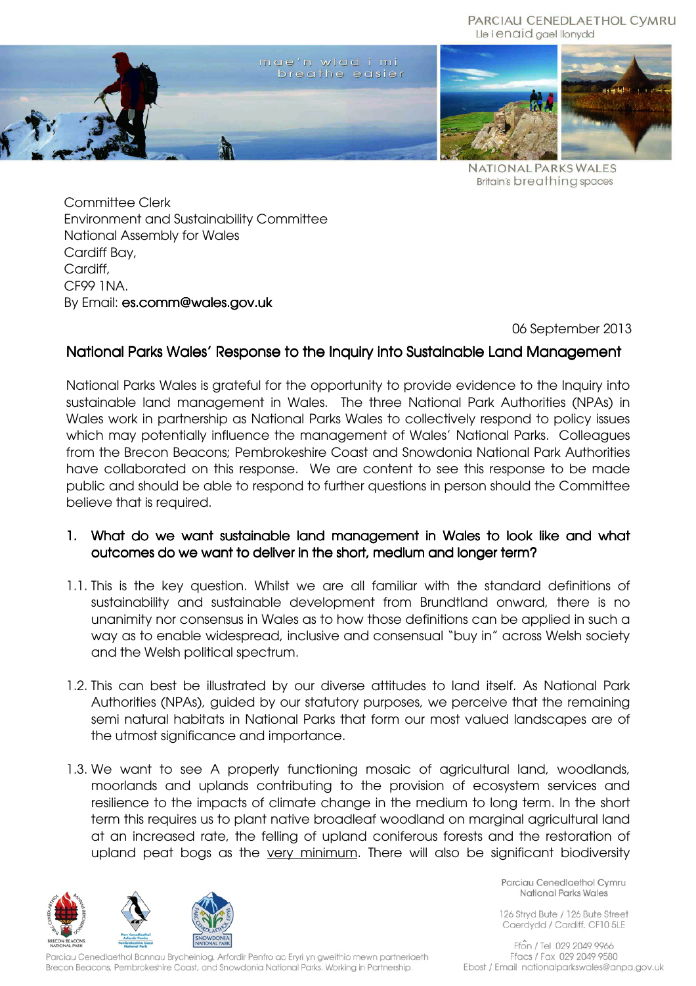#### PARCIAU CENEDLAETHOL CYMRU Lle i enaid gael llonydd



**NATIONAL PARKS WALES Britain's breathing spaces** 

Committee Clerk Environment and Sustainability Committee National Assembly for Wales Cardiff Bay, Cardiff, CF99 1NA. By Email: es.comm@wales.gov.uk

06 September 2013

# National Parks Wales' Response to the Inquiry into Sustainable Land Management

National Parks Wales is grateful for the opportunity to provide evidence to the Inquiry into sustainable land management in Wales. The three National Park Authorities (NPAs) in Wales work in partnership as National Parks Wales to collectively respond to policy issues which may potentially influence the management of Wales' National Parks. Colleagues from the Brecon Beacons; Pembrokeshire Coast and Snowdonia National Park Authorities have collaborated on this response. We are content to see this response to be made public and should be able to respond to further questions in person should the Committee believe that is required.

- 1. What do we want sustainable land management in Wales to look like and what outcomes do we want to deliver in the short, medium and longer term?
- 1.1. This is the key question. Whilst we are all familiar with the standard definitions of sustainability and sustainable development from Brundtland onward, there is no unanimity nor consensus in Wales as to how those definitions can be applied in such a way as to enable widespread, inclusive and consensual "buy in" across Welsh society and the Welsh political spectrum.
- 1.2. This can best be illustrated by our diverse attitudes to land itself. As National Park Authorities (NPAs), guided by our statutory purposes, we perceive that the remaining semi natural habitats in National Parks that form our most valued landscapes are of the utmost significance and importance.
- 1.3. We want to see A properly functioning mosaic of agricultural land, woodlands, moorlands and uplands contributing to the provision of ecosystem services and resilience to the impacts of climate change in the medium to long term. In the short term this requires us to plant native broadleaf woodland on marginal agricultural land at an increased rate, the felling of upland coniferous forests and the restoration of upland peat bogs as the very minimum. There will also be significant biodiversity



Parciau Cenedlaethol Bannau Brycheiniog, Arfordir Penfro ac Eryri yn gweithio mewn partneriaeth Brecon Beacons, Pembrokeshire Coast, and Snowdonia National Parks. Working in Partnership.

Parciau Cenedlaethol Cymru National Parks Wales

126 Stryd Bute / 126 Bute Street Caerdydd / Cardiff, CF10 5LE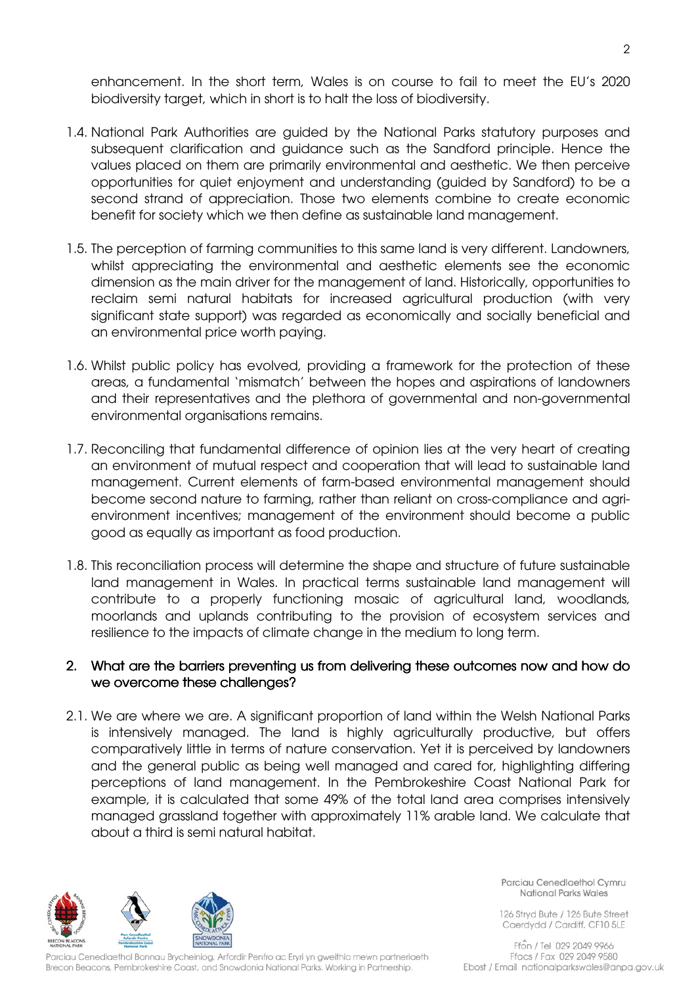enhancement. In the short term, Wales is on course to fail to meet the EU's 2020 biodiversity target, which in short is to halt the loss of biodiversity.

- 1.4. National Park Authorities are guided by the National Parks statutory purposes and subsequent clarification and guidance such as the Sandford principle. Hence the values placed on them are primarily environmental and aesthetic. We then perceive opportunities for quiet enjoyment and understanding (guided by Sandford) to be a second strand of appreciation. Those two elements combine to create economic benefit for society which we then define as sustainable land management.
- 1.5. The perception of farming communities to this same land is very different. Landowners, whilst appreciating the environmental and aesthetic elements see the economic dimension as the main driver for the management of land. Historically, opportunities to reclaim semi natural habitats for increased agricultural production (with very significant state support) was regarded as economically and socially beneficial and an environmental price worth paying.
- 1.6. Whilst public policy has evolved, providing a framework for the protection of these areas, a fundamental 'mismatch' between the hopes and aspirations of landowners and their representatives and the plethora of governmental and non-governmental environmental organisations remains.
- 1.7. Reconciling that fundamental difference of opinion lies at the very heart of creating an environment of mutual respect and cooperation that will lead to sustainable land management. Current elements of farm-based environmental management should become second nature to farming, rather than reliant on cross-compliance and agrienvironment incentives; management of the environment should become a public good as equally as important as food production.
- 1.8. This reconciliation process will determine the shape and structure of future sustainable land management in Wales. In practical terms sustainable land management will contribute to a properly functioning mosaic of agricultural land, woodlands, moorlands and uplands contributing to the provision of ecosystem services and resilience to the impacts of climate change in the medium to long term.

### 2. What are the barriers preventing us from delivering these outcomes now and how do we overcome these challenges?

2.1. We are where we are. A significant proportion of land within the Welsh National Parks is intensively managed. The land is highly agriculturally productive, but offers comparatively little in terms of nature conservation. Yet it is perceived by landowners and the general public as being well managed and cared for, highlighting differing perceptions of land management. In the Pembrokeshire Coast National Park for example, it is calculated that some 49% of the total land area comprises intensively managed grassland together with approximately 11% arable land. We calculate that about a third is semi natural habitat.



Parciau Cenedlaethol Bannau Brycheiniog, Arfordir Penfro ac Eryri yn gweithio mewn partneriaeth Brecon Beacons, Pembrokeshire Coast, and Snowdonia National Parks. Working in Partnership.

Parciau Cenedlaethol Cymru National Parks Wales

126 Stryd Bute / 126 Bute Street Caerdydd / Cardiff, CF10 5LE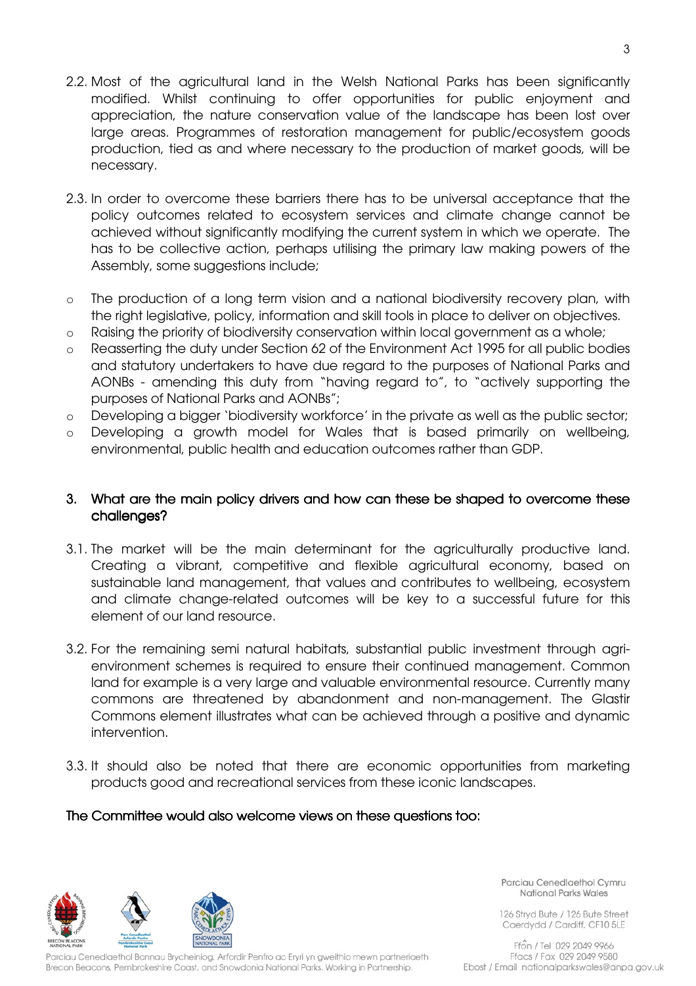- 2.2. Most of the agricultural land in the Welsh National Parks has been significantly modified. Whilst continuing to offer opportunities for public enjoyment and appreciation, the nature conservation value of the landscape has been lost over large areas. Programmes of restoration management for public/ecosystem goods production, tied as and where necessary to the production of market goods, will be necessary.
- 2.3. In order to overcome these barriers there has to be universal acceptance that the policy outcomes related to ecosystem services and climate change cannot be achieved without significantly modifying the current system in which we operate. The has to be collective action, perhaps utilising the primary law making powers of the Assembly, some suggestions include;
- o The production of a long term vision and a national biodiversity recovery plan, with the right legislative, policy, information and skill tools in place to deliver on objectives.
- o Raising the priority of biodiversity conservation within local government as a whole;
- o Reasserting the duty under Section 62 of the Environment Act 1995 for all public bodies and statutory undertakers to have due regard to the purposes of National Parks and AONBs - amending this duty from "having regard to", to "actively supporting the purposes of National Parks and AONBs";
- o Developing a bigger 'biodiversity workforce' in the private as well as the public sector;
- o Developing a growth model for Wales that is based primarily on wellbeing, environmental, public health and education outcomes rather than GDP.

### 3. What are the main policy drivers and how can these be shaped to overcome these challenges? challenges?

- 3.1. The market will be the main determinant for the agriculturally productive land. Creating a vibrant, competitive and flexible agricultural economy, based on sustainable land management, that values and contributes to wellbeing, ecosystem and climate change-related outcomes will be key to a successful future for this element of our land resource.
- 3.2. For the remaining semi natural habitats, substantial public investment through agrienvironment schemes is required to ensure their continued management. Common land for example is a very large and valuable environmental resource. Currently many commons are threatened by abandonment and non-management. The Glastir Commons element illustrates what can be achieved through a positive and dynamic intervention.
- 3.3. It should also be noted that there are economic opportunities from marketing products good and recreational services from these iconic landscapes.

#### The Committee would also welcome views on these questions too:



Parciau Cenedlaethol Bannau Brycheiniog, Arfordir Penfro ac Eryri yn gweithio mewn partneriaeth Brecon Beacons, Pembrokeshire Coast, and Snowdonia National Parks. Working in Partnership.

Parciau Cenedlaethol Cymru National Parks Wales

126 Stryd Bute / 126 Bute Street Caerdydd / Cardiff, CF10 5LE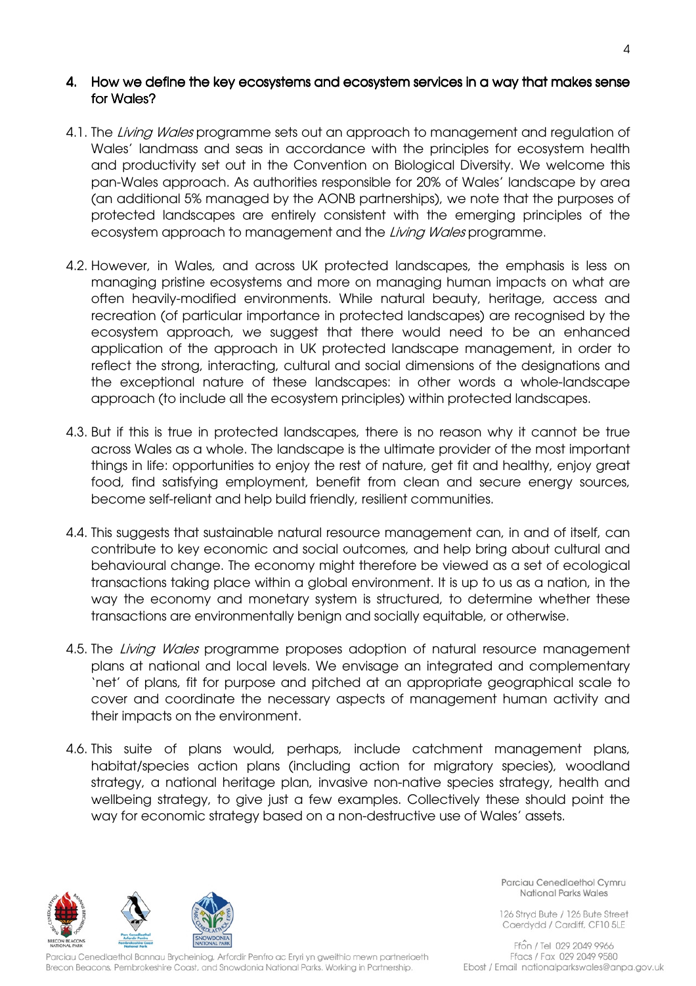### 4. How we define the key ecosystems and ecosystem services in a way that makes sense for Wales?

- 4.1. The Living Wales programme sets out an approach to management and regulation of Wales' landmass and seas in accordance with the principles for ecosystem health and productivity set out in the Convention on Biological Diversity. We welcome this pan-Wales approach. As authorities responsible for 20% of Wales' landscape by area (an additional 5% managed by the AONB partnerships), we note that the purposes of protected landscapes are entirely consistent with the emerging principles of the ecosystem approach to management and the Living Wales programme.
- 4.2. However, in Wales, and across UK protected landscapes, the emphasis is less on managing pristine ecosystems and more on managing human impacts on what are often heavily-modified environments. While natural beauty, heritage, access and recreation (of particular importance in protected landscapes) are recognised by the ecosystem approach, we suggest that there would need to be an enhanced application of the approach in UK protected landscape management, in order to reflect the strong, interacting, cultural and social dimensions of the designations and the exceptional nature of these landscapes: in other words a whole-landscape approach (to include all the ecosystem principles) within protected landscapes.
- 4.3. But if this is true in protected landscapes, there is no reason why it cannot be true across Wales as a whole. The landscape is the ultimate provider of the most important things in life: opportunities to enjoy the rest of nature, get fit and healthy, enjoy great food, find satisfying employment, benefit from clean and secure energy sources, become self-reliant and help build friendly, resilient communities.
- 4.4. This suggests that sustainable natural resource management can, in and of itself, can contribute to key economic and social outcomes, and help bring about cultural and behavioural change. The economy might therefore be viewed as a set of ecological transactions taking place within a global environment. It is up to us as a nation, in the way the economy and monetary system is structured, to determine whether these transactions are environmentally benign and socially equitable, or otherwise.
- 4.5. The *Living Wales* programme proposes adoption of natural resource management plans at national and local levels. We envisage an integrated and complementary 'net' of plans, fit for purpose and pitched at an appropriate geographical scale to cover and coordinate the necessary aspects of management human activity and their impacts on the environment.
- 4.6. This suite of plans would, perhaps, include catchment management plans, habitat/species action plans (including action for migratory species), woodland strategy, a national heritage plan, invasive non-native species strategy, health and wellbeing strategy, to give just a few examples. Collectively these should point the way for economic strategy based on a non-destructive use of Wales' assets.



Parciau Cenedlaethol Bannau Brycheiniog, Arfordir Penfro ac Eryri yn gweithio mewn partneriaeth Brecon Beacons, Pembrokeshire Coast, and Snowdonia National Parks. Working in Partnership.

Parciau Cenedlaethol Cymru National Parks Wales

126 Stryd Bute / 126 Bute Street Caerdydd / Cardiff, CF10 5LE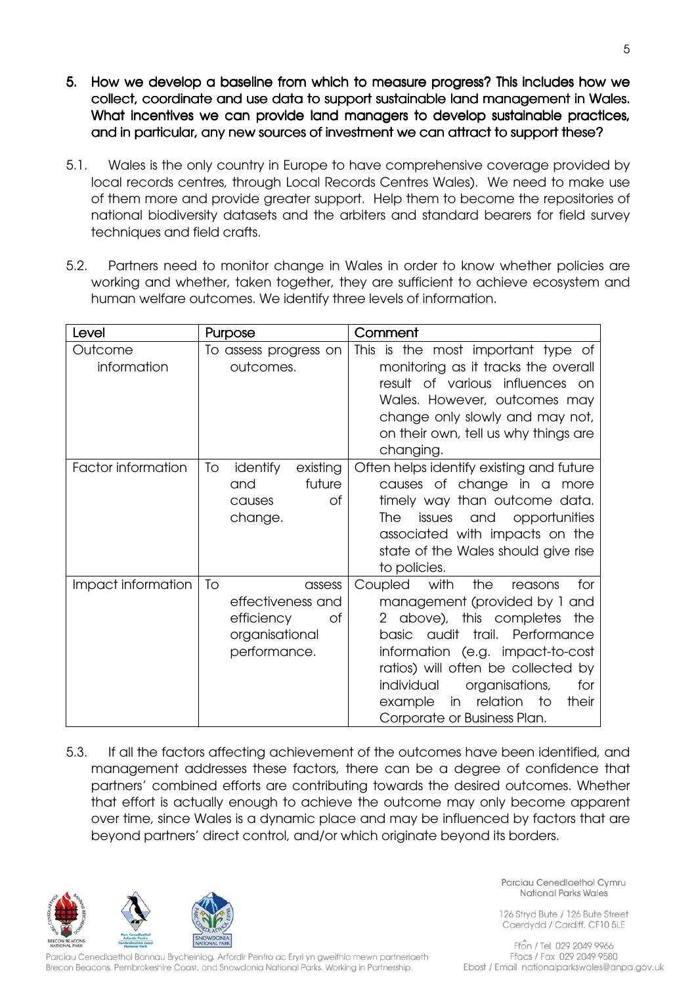- 5. How we develop a baseline from which to measure progress? This includes how we collect, coordinate and use data to support sustainable land management in Wales. What incentives we can provide land managers to develop sustainable practices, and in particular, any new sources of investment we can attract to support these?
- 5.1. Wales is the only country in Europe to have comprehensive coverage provided by local records centres, through Local Records Centres Wales). We need to make use of them more and provide greater support. Help them to become the repositories of national biodiversity datasets and the arbiters and standard bearers for field survey techniques and field crafts.
- 5.2. Partners need to monitor change in Wales in order to know whether policies are working and whether, taken together, they are sufficient to achieve ecosystem and human welfare outcomes. We identify three levels of information.

| Level                     | Purpose                                                                                 | Comment                                                                                                                                                                                                                                                                                                                                       |
|---------------------------|-----------------------------------------------------------------------------------------|-----------------------------------------------------------------------------------------------------------------------------------------------------------------------------------------------------------------------------------------------------------------------------------------------------------------------------------------------|
| Outcome<br>information    | To assess progress on<br>outcomes.                                                      | This is the most important type of<br>monitoring as it tracks the overall<br>result of various influences on<br>Wales. However, outcomes may<br>change only slowly and may not,<br>on their own, tell us why things are<br>changing.                                                                                                          |
| <b>Factor information</b> | To<br>existing<br>identify<br>future<br>and<br><b>of</b><br>causes<br>change.           | Often helps identify existing and future<br>causes of change in a more<br>timely way than outcome data.<br>issues<br>and<br>opportunities<br>The<br>associated with impacts on the<br>state of the Wales should give rise<br>to policies.                                                                                                     |
| Impact information        | To<br>assess<br>effectiveness and<br>0f<br>efficiency<br>organisational<br>performance. | Coupled<br>with<br>the<br>for<br>reasons<br>management (provided by 1 and<br>2 above), this completes<br>the<br>trail. Performance<br>basic audit<br>information (e.g. impact-to-cost<br>ratios) will often be collected by<br>individual<br>organisations,<br>for<br>relation<br>to<br>example<br>their<br>in<br>Corporate or Business Plan. |

5.3. If all the factors affecting achievement of the outcomes have been identified, and management addresses these factors, there can be a degree of confidence that partners' combined efforts are contributing towards the desired outcomes. Whether that effort is actually enough to achieve the outcome may only become apparent over time, since Wales is a dynamic place and may be influenced by factors that are beyond partners' direct control, and/or which originate beyond its borders.



Parciau Cenedlaethol Bannau Brycheiniog, Arfordir Penfro ac Eryri yn gweithio mewn partneriaeth Brecon Beacons, Pembrokeshire Coast, and Snowdonia National Parks. Working in Partnership.

Parciau Cenedlaethol Cymru National Parks Wales

126 Stryd Bute / 126 Bute Street Caerdydd / Cardiff, CF10 5LE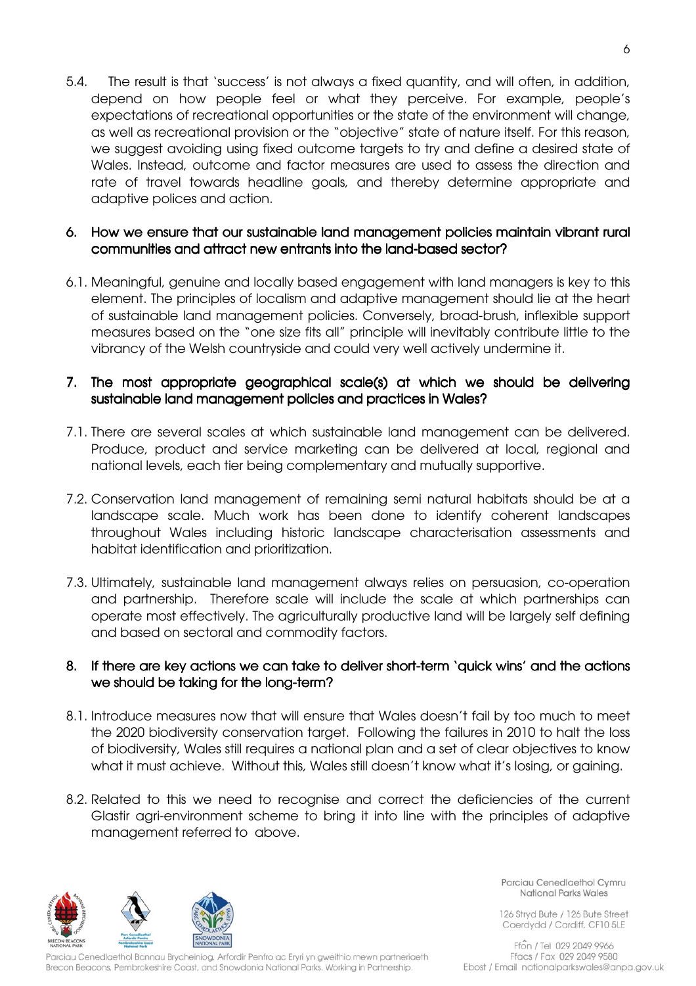5.4. The result is that 'success' is not always a fixed quantity, and will often, in addition, depend on how people feel or what they perceive. For example, people's expectations of recreational opportunities or the state of the environment will change, as well as recreational provision or the "objective" state of nature itself. For this reason, we suggest avoiding using fixed outcome targets to try and define a desired state of Wales. Instead, outcome and factor measures are used to assess the direction and rate of travel towards headline goals, and thereby determine appropriate and adaptive polices and action.

## 6. How we ensure that our sustainable land management policies maintain vibrant rural communities and attract new entrants into the land-based sector?

6.1. Meaningful, genuine and locally based engagement with land managers is key to this element. The principles of localism and adaptive management should lie at the heart of sustainable land management policies. Conversely, broad-brush, inflexible support measures based on the "one size fits all" principle will inevitably contribute little to the vibrancy of the Welsh countryside and could very well actively undermine it.

## 7. The most appropriate geographical scale(s) at which we should be delivering sustainable land management policies and practices in Wales?

- 7.1. There are several scales at which sustainable land management can be delivered. Produce, product and service marketing can be delivered at local, regional and national levels, each tier being complementary and mutually supportive.
- 7.2. Conservation land management of remaining semi natural habitats should be at a landscape scale. Much work has been done to identify coherent landscapes throughout Wales including historic landscape characterisation assessments and habitat identification and prioritization.
- 7.3. Ultimately, sustainable land management always relies on persuasion, co-operation and partnership. Therefore scale will include the scale at which partnerships can operate most effectively. The agriculturally productive land will be largely self defining and based on sectoral and commodity factors.

### 8. If there are key actions we can take to deliver short-term 'quick wins' and the actions we should be taking for the long-term?

- 8.1. Introduce measures now that will ensure that Wales doesn't fail by too much to meet the 2020 biodiversity conservation target. Following the failures in 2010 to halt the loss of biodiversity, Wales still requires a national plan and a set of clear objectives to know what it must achieve. Without this, Wales still doesn't know what it's losing, or gaining.
- 8.2. Related to this we need to recognise and correct the deficiencies of the current Glastir agri-environment scheme to bring it into line with the principles of adaptive management referred to above.



arciau Cenedlaethol Bannau Brycheiniog, Arfordir Penfro ac Eryri yn gweithio mewn partneriaeth Brecon Beacons, Pembrokeshire Coast, and Snowdonia National Parks. Working in Partnership.

Parciau Cenedlaethol Cymru National Parks Wales

126 Stryd Bute / 126 Bute Street Caerdydd / Cardiff, CF10 5LE